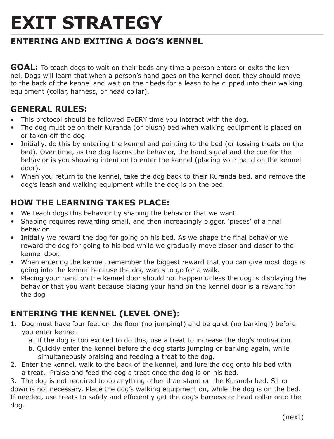# **EXIT STRATEGY**

# **ENTERING AND EXITING A DOG'S KENNEL**

**GOAL:** To teach dogs to wait on their beds any time a person enters or exits the kennel. Dogs will learn that when a person's hand goes on the kennel door, they should move to the back of the kennel and wait on their beds for a leash to be clipped into their walking equipment (collar, harness, or head collar).

### **GENERAL RULES:**

- This protocol should be followed EVERY time you interact with the dog.
- The dog must be on their Kuranda (or plush) bed when walking equipment is placed on or taken off the dog.
- Initially, do this by entering the kennel and pointing to the bed (or tossing treats on the bed). Over time, as the dog learns the behavior, the hand signal and the cue for the behavior is you showing intention to enter the kennel (placing your hand on the kennel door).
- When you return to the kennel, take the dog back to their Kuranda bed, and remove the dog's leash and walking equipment while the dog is on the bed.

## **HOW THE LEARNING TAKES PLACE:**

- We teach dogs this behavior by shaping the behavior that we want.
- Shaping requires rewarding small, and then increasingly bigger, 'pieces' of a final behavior.
- Initially we reward the dog for going on his bed. As we shape the final behavior we reward the dog for going to his bed while we gradually move closer and closer to the kennel door.
- When entering the kennel, remember the biggest reward that you can give most dogs is going into the kennel because the dog wants to go for a walk.
- Placing your hand on the kennel door should not happen unless the dog is displaying the behavior that you want because placing your hand on the kennel door is a reward for the dog

# **ENTERING THE KENNEL (LEVEL ONE):**

- 1. Dog must have four feet on the floor (no jumping!) and be quiet (no barking!) before you enter kennel.
	- a. If the dog is too excited to do this, use a treat to increase the dog's motivation.
	- b. Quickly enter the kennel before the dog starts jumping or barking again, while simultaneously praising and feeding a treat to the dog.
- 2. Enter the kennel, walk to the back of the kennel, and lure the dog onto his bed with a treat. Praise and feed the dog a treat once the dog is on his bed.

3. The dog is not required to do anything other than stand on the Kuranda bed. Sit or down is not necessary. Place the dog's walking equipment on, while the dog is on the bed. If needed, use treats to safely and efficiently get the dog's harness or head collar onto the dog.